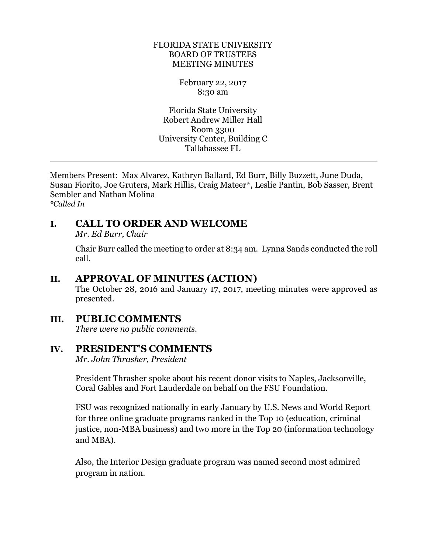#### FLORIDA STATE UNIVERSITY BOARD OF TRUSTEES MEETING MINUTES

February 22, 2017 8:30 am

Florida State University Robert Andrew Miller Hall Room 3300 University Center, Building C Tallahassee FL

Members Present: Max Alvarez, Kathryn Ballard, Ed Burr, Billy Buzzett, June Duda, Susan Fiorito, Joe Gruters, Mark Hillis, Craig Mateer\*, Leslie Pantin, Bob Sasser, Brent Sembler and Nathan Molina *\*Called In*

# **I. CALL TO ORDER AND WELCOME**

*Mr. Ed Burr, Chair* 

 $\overline{a}$ 

Chair Burr called the meeting to order at 8:34 am. Lynna Sands conducted the roll call.

# **II. APPROVAL OF MINUTES (ACTION)**

The October 28, 2016 and January 17, 2017, meeting minutes were approved as presented.

# **III. PUBLIC COMMENTS**

*There were no public comments.*

# **IV. PRESIDENT'S COMMENTS**

*Mr. John Thrasher, President*

President Thrasher spoke about his recent donor visits to Naples, Jacksonville, Coral Gables and Fort Lauderdale on behalf on the FSU Foundation.

FSU was recognized nationally in early January by U.S. News and World Report for three online graduate programs ranked in the Top 10 (education, criminal justice, non-MBA business) and two more in the Top 20 (information technology and MBA).

Also, the Interior Design graduate program was named second most admired program in nation.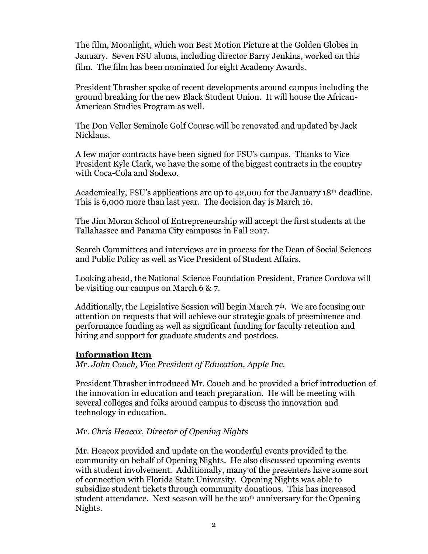The film, Moonlight, which won Best Motion Picture at the Golden Globes in January. Seven FSU alums, including director Barry Jenkins, worked on this film. The film has been nominated for eight Academy Awards.

President Thrasher spoke of recent developments around campus including the ground breaking for the new Black Student Union. It will house the African-American Studies Program as well.

The Don Veller Seminole Golf Course will be renovated and updated by Jack Nicklaus.

A few major contracts have been signed for FSU's campus. Thanks to Vice President Kyle Clark, we have the some of the biggest contracts in the country with Coca-Cola and Sodexo.

Academically, FSU's applications are up to 42,000 for the January 18<sup>th</sup> deadline. This is 6,000 more than last year. The decision day is March 16.

The Jim Moran School of Entrepreneurship will accept the first students at the Tallahassee and Panama City campuses in Fall 2017.

Search Committees and interviews are in process for the Dean of Social Sciences and Public Policy as well as Vice President of Student Affairs.

Looking ahead, the National Science Foundation President, France Cordova will be visiting our campus on March 6 & 7.

Additionally, the Legislative Session will begin March  $7<sup>th</sup>$ . We are focusing our attention on requests that will achieve our strategic goals of preeminence and performance funding as well as significant funding for faculty retention and hiring and support for graduate students and postdocs.

### **Information Item**

*Mr. John Couch, Vice President of Education, Apple Inc.*

President Thrasher introduced Mr. Couch and he provided a brief introduction of the innovation in education and teach preparation. He will be meeting with several colleges and folks around campus to discuss the innovation and technology in education.

### *Mr. Chris Heacox, Director of Opening Nights*

Mr. Heacox provided and update on the wonderful events provided to the community on behalf of Opening Nights. He also discussed upcoming events with student involvement. Additionally, many of the presenters have some sort of connection with Florida State University. Opening Nights was able to subsidize student tickets through community donations. This has increased student attendance. Next season will be the  $20<sup>th</sup>$  anniversary for the Opening Nights.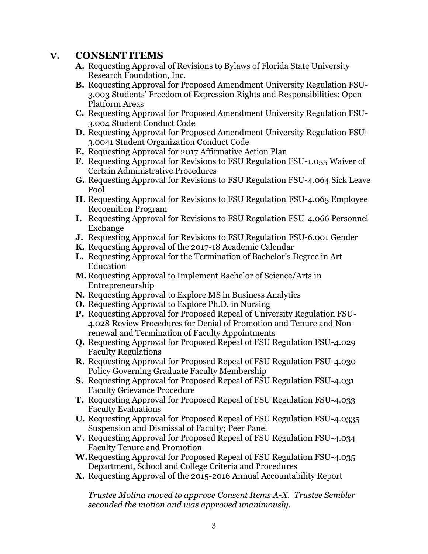# **V. CONSENT ITEMS**

- **A.** Requesting Approval of Revisions to Bylaws of Florida State University Research Foundation, Inc.
- **B.** Requesting Approval for Proposed Amendment University Regulation FSU-3.003 Students' Freedom of Expression Rights and Responsibilities: Open Platform Areas
- **C.** Requesting Approval for Proposed Amendment University Regulation FSU-3.004 Student Conduct Code
- **D.** Requesting Approval for Proposed Amendment University Regulation FSU-3.0041 Student Organization Conduct Code
- **E.** Requesting Approval for 2017 Affirmative Action Plan
- **F.** Requesting Approval for Revisions to FSU Regulation FSU-1.055 Waiver of Certain Administrative Procedures
- **G.** Requesting Approval for Revisions to FSU Regulation FSU-4.064 Sick Leave Pool
- **H.** Requesting Approval for Revisions to FSU Regulation FSU-4.065 Employee Recognition Program
- **I.** Requesting Approval for Revisions to FSU Regulation FSU-4.066 Personnel Exchange
- **J.** Requesting Approval for Revisions to FSU Regulation FSU-6.001 Gender
- **K.** Requesting Approval of the 2017-18 Academic Calendar
- **L.** Requesting Approval for the Termination of Bachelor's Degree in Art Education
- **M.** Requesting Approval to Implement Bachelor of Science/Arts in Entrepreneurship
- **N.** Requesting Approval to Explore MS in Business Analytics
- **O.** Requesting Approval to Explore Ph.D. in Nursing
- **P.** Requesting Approval for Proposed Repeal of University Regulation FSU-4.028 Review Procedures for Denial of Promotion and Tenure and Nonrenewal and Termination of Faculty Appointments
- **Q.** Requesting Approval for Proposed Repeal of FSU Regulation FSU-4.029 Faculty Regulations
- **R.** Requesting Approval for Proposed Repeal of FSU Regulation FSU-4.030 Policy Governing Graduate Faculty Membership
- **S.** Requesting Approval for Proposed Repeal of FSU Regulation FSU-4.031 Faculty Grievance Procedure
- **T.** Requesting Approval for Proposed Repeal of FSU Regulation FSU-4.033 Faculty Evaluations
- **U.** Requesting Approval for Proposed Repeal of FSU Regulation FSU-4.0335 Suspension and Dismissal of Faculty; Peer Panel
- **V.** Requesting Approval for Proposed Repeal of FSU Regulation FSU-4.034 Faculty Tenure and Promotion
- **W.**Requesting Approval for Proposed Repeal of FSU Regulation FSU-4.035 Department, School and College Criteria and Procedures
- **X.** Requesting Approval of the 2015-2016 Annual Accountability Report

*Trustee Molina moved to approve Consent Items A-X. Trustee Sembler seconded the motion and was approved unanimously.*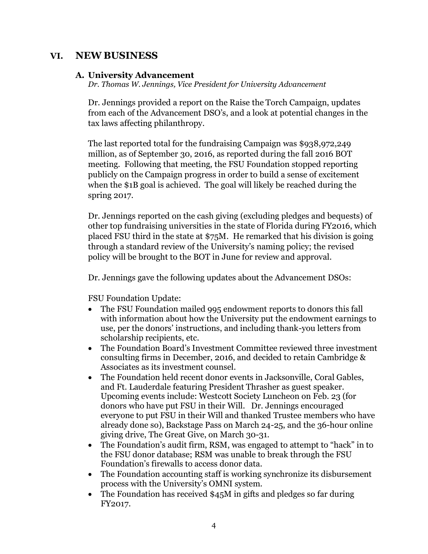## **VI. NEW BUSINESS**

#### **A. University Advancement**

*Dr. Thomas W. Jennings, Vice President for University Advancement*

Dr. Jennings provided a report on the Raise the Torch Campaign, updates from each of the Advancement DSO's, and a look at potential changes in the tax laws affecting philanthropy.

The last reported total for the fundraising Campaign was \$938,972,249 million, as of September 30, 2016, as reported during the fall 2016 BOT meeting. Following that meeting, the FSU Foundation stopped reporting publicly on the Campaign progress in order to build a sense of excitement when the \$1B goal is achieved. The goal will likely be reached during the spring 2017.

Dr. Jennings reported on the cash giving (excluding pledges and bequests) of other top fundraising universities in the state of Florida during FY2016, which placed FSU third in the state at \$75M. He remarked that his division is going through a standard review of the University's naming policy; the revised policy will be brought to the BOT in June for review and approval.

Dr. Jennings gave the following updates about the Advancement DSOs:

FSU Foundation Update:

- The FSU Foundation mailed 995 endowment reports to donors this fall with information about how the University put the endowment earnings to use, per the donors' instructions, and including thank-you letters from scholarship recipients, etc.
- The Foundation Board's Investment Committee reviewed three investment consulting firms in December, 2016, and decided to retain Cambridge & Associates as its investment counsel.
- The Foundation held recent donor events in Jacksonville, Coral Gables, and Ft. Lauderdale featuring President Thrasher as guest speaker. Upcoming events include: Westcott Society Luncheon on Feb. 23 (for donors who have put FSU in their Will. Dr. Jennings encouraged everyone to put FSU in their Will and thanked Trustee members who have already done so), Backstage Pass on March 24-25, and the 36-hour online giving drive, The Great Give, on March 30-31.
- The Foundation's audit firm, RSM, was engaged to attempt to "hack" in to the FSU donor database; RSM was unable to break through the FSU Foundation's firewalls to access donor data.
- The Foundation accounting staff is working synchronize its disbursement process with the University's OMNI system.
- The Foundation has received \$45M in gifts and pledges so far during FY2017.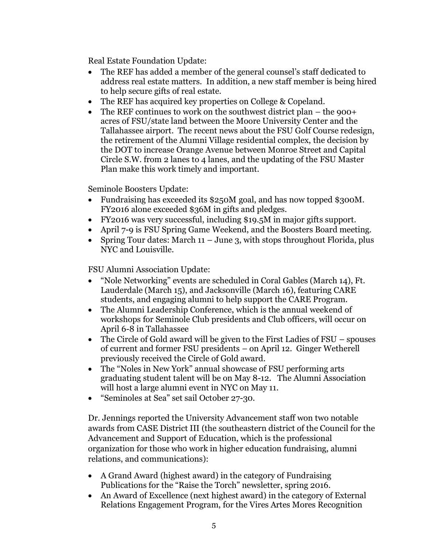Real Estate Foundation Update:

- The REF has added a member of the general counsel's staff dedicated to address real estate matters. In addition, a new staff member is being hired to help secure gifts of real estate.
- The REF has acquired key properties on College & Copeland.
- The REF continues to work on the southwest district plan the 900+ acres of FSU/state land between the Moore University Center and the Tallahassee airport. The recent news about the FSU Golf Course redesign, the retirement of the Alumni Village residential complex, the decision by the DOT to increase Orange Avenue between Monroe Street and Capital Circle S.W. from 2 lanes to 4 lanes, and the updating of the FSU Master Plan make this work timely and important.

Seminole Boosters Update:

- Fundraising has exceeded its \$250M goal, and has now topped \$300M. FY2016 alone exceeded \$36M in gifts and pledges.
- FY2016 was very successful, including \$19.5M in major gifts support.
- April 7-9 is FSU Spring Game Weekend, and the Boosters Board meeting.
- Spring Tour dates: March  $11 -$  June 3, with stops throughout Florida, plus NYC and Louisville.

FSU Alumni Association Update:

- "Nole Networking" events are scheduled in Coral Gables (March 14), Ft. Lauderdale (March 15), and Jacksonville (March 16), featuring CARE students, and engaging alumni to help support the CARE Program.
- The Alumni Leadership Conference, which is the annual weekend of workshops for Seminole Club presidents and Club officers, will occur on April 6-8 in Tallahassee
- The Circle of Gold award will be given to the First Ladies of FSU spouses of current and former FSU presidents – on April 12. Ginger Wetherell previously received the Circle of Gold award.
- The "Noles in New York" annual showcase of FSU performing arts graduating student talent will be on May 8-12. The Alumni Association will host a large alumni event in NYC on May 11.
- "Seminoles at Sea" set sail October 27-30.

Dr. Jennings reported the University Advancement staff won two notable awards from CASE District III (the southeastern district of the Council for the Advancement and Support of Education, which is the professional organization for those who work in higher education fundraising, alumni relations, and communications):

- A Grand Award (highest award) in the category of Fundraising Publications for the "Raise the Torch" newsletter, spring 2016.
- An Award of Excellence (next highest award) in the category of External Relations Engagement Program, for the Vires Artes Mores Recognition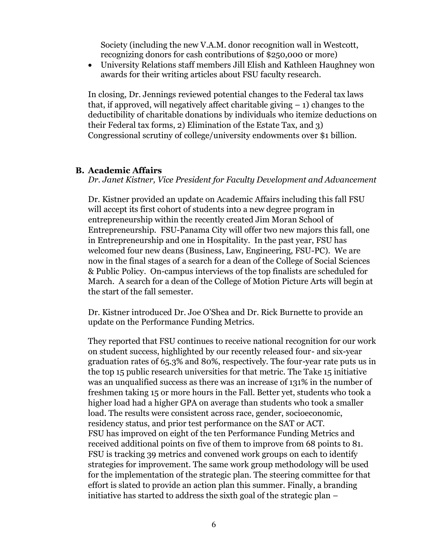Society (including the new V.A.M. donor recognition wall in Westcott, recognizing donors for cash contributions of \$250,000 or more)

• University Relations staff members Jill Elish and Kathleen Haughney won awards for their writing articles about FSU faculty research.

In closing, Dr. Jennings reviewed potential changes to the Federal tax laws that, if approved, will negatively affect charitable giving  $-1$ ) changes to the deductibility of charitable donations by individuals who itemize deductions on their Federal tax forms, 2) Elimination of the Estate Tax, and 3) Congressional scrutiny of college/university endowments over \$1 billion.

#### **B. Academic Affairs**

*Dr. Janet Kistner, Vice President for Faculty Development and Advancement*

Dr. Kistner provided an update on Academic Affairs including this fall FSU will accept its first cohort of students into a new degree program in entrepreneurship within the recently created Jim Moran School of Entrepreneurship. FSU-Panama City will offer two new majors this fall, one in Entrepreneurship and one in Hospitality. In the past year, FSU has welcomed four new deans (Business, Law, Engineering, FSU-PC). We are now in the final stages of a search for a dean of the College of Social Sciences & Public Policy. On-campus interviews of the top finalists are scheduled for March. A search for a dean of the College of Motion Picture Arts will begin at the start of the fall semester.

Dr. Kistner introduced Dr. Joe O'Shea and Dr. Rick Burnette to provide an update on the Performance Funding Metrics.

They reported that FSU continues to receive national recognition for our work on student success, highlighted by our recently released four- and six-year graduation rates of 65.3% and 80%, respectively. The four-year rate puts us in the top 15 public research universities for that metric. The Take 15 initiative was an unqualified success as there was an increase of 131% in the number of freshmen taking 15 or more hours in the Fall. Better yet, students who took a higher load had a higher GPA on average than students who took a smaller load. The results were consistent across race, gender, socioeconomic, residency status, and prior test performance on the SAT or ACT. FSU has improved on eight of the ten Performance Funding Metrics and received additional points on five of them to improve from 68 points to 81. FSU is tracking 39 metrics and convened work groups on each to identify strategies for improvement. The same work group methodology will be used for the implementation of the strategic plan. The steering committee for that effort is slated to provide an action plan this summer. Finally, a branding initiative has started to address the sixth goal of the strategic plan –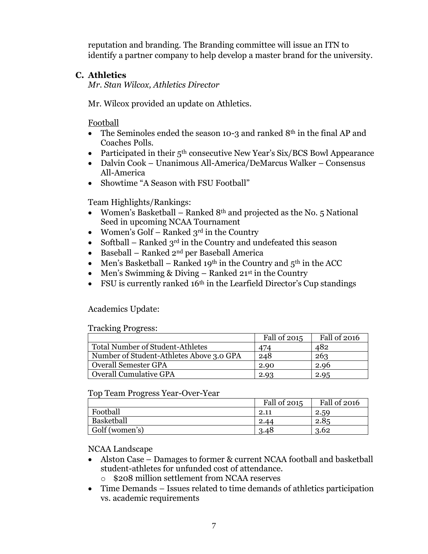reputation and branding. The Branding committee will issue an ITN to identify a partner company to help develop a master brand for the university.

## **C. Athletics**

*Mr. Stan Wilcox, Athletics Director*

Mr. Wilcox provided an update on Athletics.

Football

- The Seminoles ended the season 10-3 and ranked  $8<sup>th</sup>$  in the final AP and Coaches Polls.
- Participated in their  $5<sup>th</sup>$  consecutive New Year's Six/BCS Bowl Appearance
- Dalvin Cook Unanimous All-America/DeMarcus Walker Consensus All-America
- Showtime "A Season with FSU Football"

Team Highlights/Rankings:

- Women's Basketball Ranked  $8<sup>th</sup>$  and projected as the No. 5 National Seed in upcoming NCAA Tournament
- Women's Golf Ranked  $3<sup>rd</sup>$  in the Country
- Softball Ranked  $3^{rd}$  in the Country and undefeated this season
- Baseball Ranked  $2^{nd}$  per Baseball America
- Men's Basketball Ranked 19<sup>th</sup> in the Country and  $5<sup>th</sup>$  in the ACC
- Men's Swimming & Diving Ranked  $21^{st}$  in the Country
- FSU is currently ranked  $16<sup>th</sup>$  in the Learfield Director's Cup standings

Academics Update:

Tracking Progress:

|                                          | Fall of 2015 | Fall of 2016 |
|------------------------------------------|--------------|--------------|
| <b>Total Number of Student-Athletes</b>  | 474          | 482          |
| Number of Student-Athletes Above 3.0 GPA | 248          | 263          |
| <b>Overall Semester GPA</b>              | 2.90         | 2.96         |
| <b>Overall Cumulative GPA</b>            | 2.93         | 2.95         |

## Top Team Progress Year-Over-Year

|                | Fall of 2015 | Fall of 2016 |
|----------------|--------------|--------------|
| Football       | 2.11         | 2.59         |
| Basketball     | 2.44         | 2.85         |
| Golf (women's) | 3.48         | 3.62         |

NCAA Landscape

- Alston Case Damages to former & current NCAA football and basketball student-athletes for unfunded cost of attendance.
	- o \$208 million settlement from NCAA reserves
- Time Demands Issues related to time demands of athletics participation vs. academic requirements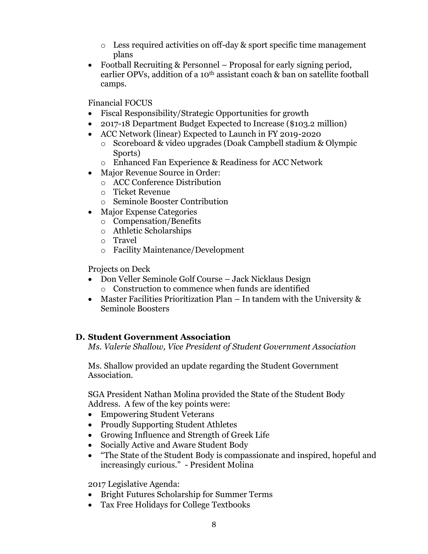- o Less required activities on off-day & sport specific time management plans
- Football Recruiting & Personnel Proposal for early signing period, earlier OPVs, addition of a 10<sup>th</sup> assistant coach & ban on satellite football camps.

Financial FOCUS

- Fiscal Responsibility/Strategic Opportunities for growth
- 2017-18 Department Budget Expected to Increase (\$103.2 million)
- ACC Network (linear) Expected to Launch in FY 2019-2020
	- o Scoreboard & video upgrades (Doak Campbell stadium & Olympic Sports)
	- o Enhanced Fan Experience & Readiness for ACC Network
- Major Revenue Source in Order:
	- o ACC Conference Distribution
	- o Ticket Revenue
	- o Seminole Booster Contribution
- Major Expense Categories
	- o Compensation/Benefits
	- o Athletic Scholarships
	- o Travel
	- o Facility Maintenance/Development

Projects on Deck

- Don Veller Seminole Golf Course Jack Nicklaus Design o Construction to commence when funds are identified
- Master Facilities Prioritization Plan In tandem with the University & Seminole Boosters

# **D. Student Government Association**

*Ms. Valerie Shallow, Vice President of Student Government Association*

Ms. Shallow provided an update regarding the Student Government Association.

SGA President Nathan Molina provided the State of the Student Body Address. A few of the key points were:

- Empowering Student Veterans
- Proudly Supporting Student Athletes
- Growing Influence and Strength of Greek Life
- Socially Active and Aware Student Body
- "The State of the Student Body is compassionate and inspired, hopeful and increasingly curious." - President Molina

## 2017 Legislative Agenda:

- Bright Futures Scholarship for Summer Terms
- Tax Free Holidays for College Textbooks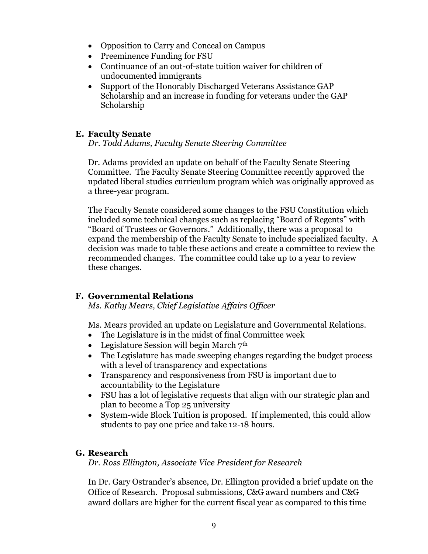- Opposition to Carry and Conceal on Campus
- Preeminence Funding for FSU
- Continuance of an out-of-state tuition waiver for children of undocumented immigrants
- Support of the Honorably Discharged Veterans Assistance GAP Scholarship and an increase in funding for veterans under the GAP Scholarship

## **E. Faculty Senate**

*Dr. Todd Adams, Faculty Senate Steering Committee*

Dr. Adams provided an update on behalf of the Faculty Senate Steering Committee. The Faculty Senate Steering Committee recently approved the updated liberal studies curriculum program which was originally approved as a three-year program.

The Faculty Senate considered some changes to the FSU Constitution which included some technical changes such as replacing "Board of Regents" with "Board of Trustees or Governors." Additionally, there was a proposal to expand the membership of the Faculty Senate to include specialized faculty. A decision was made to table these actions and create a committee to review the recommended changes. The committee could take up to a year to review these changes.

# **F. Governmental Relations**

*Ms. Kathy Mears, Chief Legislative Affairs Officer*

Ms. Mears provided an update on Legislature and Governmental Relations.

- The Legislature is in the midst of final Committee week
- Legislature Session will begin March  $7<sup>th</sup>$
- The Legislature has made sweeping changes regarding the budget process with a level of transparency and expectations
- Transparency and responsiveness from FSU is important due to accountability to the Legislature
- FSU has a lot of legislative requests that align with our strategic plan and plan to become a Top 25 university
- System-wide Block Tuition is proposed. If implemented, this could allow students to pay one price and take 12-18 hours.

## **G. Research**

*Dr. Ross Ellington, Associate Vice President for Research*

In Dr. Gary Ostrander's absence, Dr. Ellington provided a brief update on the Office of Research. Proposal submissions, C&G award numbers and C&G award dollars are higher for the current fiscal year as compared to this time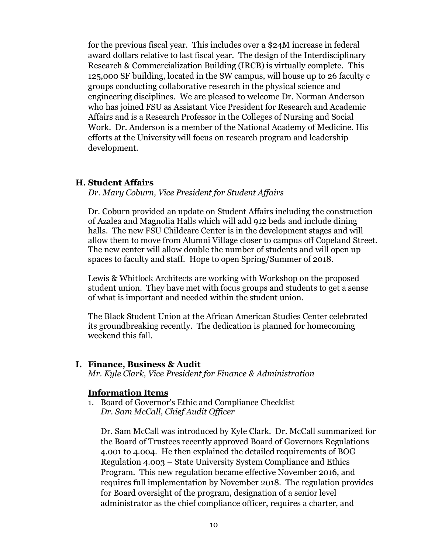for the previous fiscal year. This includes over a \$24M increase in federal award dollars relative to last fiscal year. The design of the Interdisciplinary Research & Commercialization Building (IRCB) is virtually complete. This 125,000 SF building, located in the SW campus, will house up to 26 faculty c groups conducting collaborative research in the physical science and engineering disciplines. We are pleased to welcome Dr. Norman Anderson who has joined FSU as Assistant Vice President for Research and Academic Affairs and is a Research Professor in the Colleges of Nursing and Social Work. Dr. Anderson is a member of the National Academy of Medicine. His efforts at the University will focus on research program and leadership development.

#### **H. Student Affairs**

*Dr. Mary Coburn, Vice President for Student Affairs*

Dr. Coburn provided an update on Student Affairs including the construction of Azalea and Magnolia Halls which will add 912 beds and include dining halls. The new FSU Childcare Center is in the development stages and will allow them to move from Alumni Village closer to campus off Copeland Street. The new center will allow double the number of students and will open up spaces to faculty and staff. Hope to open Spring/Summer of 2018.

Lewis & Whitlock Architects are working with Workshop on the proposed student union. They have met with focus groups and students to get a sense of what is important and needed within the student union.

The Black Student Union at the African American Studies Center celebrated its groundbreaking recently. The dedication is planned for homecoming weekend this fall.

#### **I. Finance, Business & Audit**

*Mr. Kyle Clark, Vice President for Finance & Administration*

### **Information Items**

1. Board of Governor's Ethic and Compliance Checklist *Dr. Sam McCall, Chief Audit Officer*

Dr. Sam McCall was introduced by Kyle Clark. Dr. McCall summarized for the Board of Trustees recently approved Board of Governors Regulations 4.001 to 4.004. He then explained the detailed requirements of BOG Regulation 4.003 – State University System Compliance and Ethics Program. This new regulation became effective November 2016, and requires full implementation by November 2018. The regulation provides for Board oversight of the program, designation of a senior level administrator as the chief compliance officer, requires a charter, and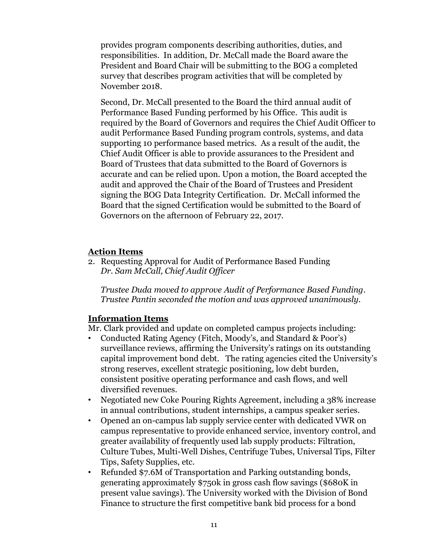provides program components describing authorities, duties, and responsibilities. In addition, Dr. McCall made the Board aware the President and Board Chair will be submitting to the BOG a completed survey that describes program activities that will be completed by November 2018.

Second, Dr. McCall presented to the Board the third annual audit of Performance Based Funding performed by his Office. This audit is required by the Board of Governors and requires the Chief Audit Officer to audit Performance Based Funding program controls, systems, and data supporting 10 performance based metrics. As a result of the audit, the Chief Audit Officer is able to provide assurances to the President and Board of Trustees that data submitted to the Board of Governors is accurate and can be relied upon. Upon a motion, the Board accepted the audit and approved the Chair of the Board of Trustees and President signing the BOG Data Integrity Certification. Dr. McCall informed the Board that the signed Certification would be submitted to the Board of Governors on the afternoon of February 22, 2017.

## **Action Items**

2. Requesting Approval for Audit of Performance Based Funding *Dr. Sam McCall, Chief Audit Officer*

*Trustee Duda moved to approve Audit of Performance Based Funding. Trustee Pantin seconded the motion and was approved unanimously.*

## **Information Items**

Mr. Clark provided and update on completed campus projects including:

- Conducted Rating Agency (Fitch, Moody's, and Standard & Poor's) surveillance reviews, affirming the University's ratings on its outstanding capital improvement bond debt. The rating agencies cited the University's strong reserves, excellent strategic positioning, low debt burden, consistent positive operating performance and cash flows, and well diversified revenues.
- Negotiated new Coke Pouring Rights Agreement, including a 38% increase in annual contributions, student internships, a campus speaker series.
- Opened an on-campus lab supply service center with dedicated VWR on campus representative to provide enhanced service, inventory control, and greater availability of frequently used lab supply products: Filtration, Culture Tubes, Multi-Well Dishes, Centrifuge Tubes, Universal Tips, Filter Tips, Safety Supplies, etc.
- Refunded \$7.6M of Transportation and Parking outstanding bonds, generating approximately \$750k in gross cash flow savings (\$680K in present value savings). The University worked with the Division of Bond Finance to structure the first competitive bank bid process for a bond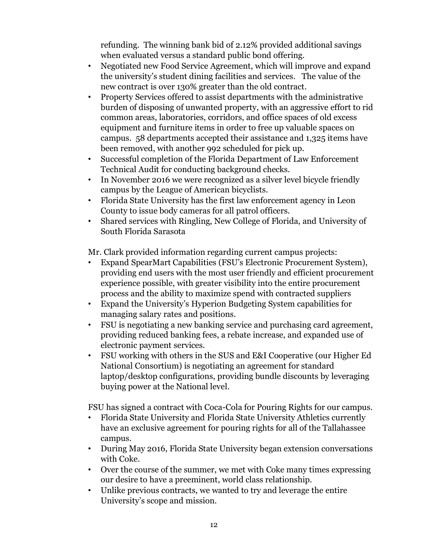refunding. The winning bank bid of 2.12% provided additional savings when evaluated versus a standard public bond offering.

- Negotiated new Food Service Agreement, which will improve and expand the university's student dining facilities and services. The value of the new contract is over 130% greater than the old contract.
- Property Services offered to assist departments with the administrative burden of disposing of unwanted property, with an aggressive effort to rid common areas, laboratories, corridors, and office spaces of old excess equipment and furniture items in order to free up valuable spaces on campus. 58 departments accepted their assistance and 1,325 items have been removed, with another 992 scheduled for pick up.
- Successful completion of the Florida Department of Law Enforcement Technical Audit for conducting background checks.
- In November 2016 we were recognized as a silver level bicycle friendly campus by the League of American bicyclists.
- Florida State University has the first law enforcement agency in Leon County to issue body cameras for all patrol officers.
- Shared services with Ringling, New College of Florida, and University of South Florida Sarasota

Mr. Clark provided information regarding current campus projects:

- Expand SpearMart Capabilities (FSU's Electronic Procurement System), providing end users with the most user friendly and efficient procurement experience possible, with greater visibility into the entire procurement process and the ability to maximize spend with contracted suppliers
- Expand the University's Hyperion Budgeting System capabilities for managing salary rates and positions.
- FSU is negotiating a new banking service and purchasing card agreement, providing reduced banking fees, a rebate increase, and expanded use of electronic payment services.
- FSU working with others in the SUS and E&I Cooperative (our Higher Ed National Consortium) is negotiating an agreement for standard laptop/desktop configurations, providing bundle discounts by leveraging buying power at the National level.

FSU has signed a contract with Coca-Cola for Pouring Rights for our campus.

- Florida State University and Florida State University Athletics currently have an exclusive agreement for pouring rights for all of the Tallahassee campus.
- During May 2016, Florida State University began extension conversations with Coke.
- Over the course of the summer, we met with Coke many times expressing our desire to have a preeminent, world class relationship.
- Unlike previous contracts, we wanted to try and leverage the entire University's scope and mission.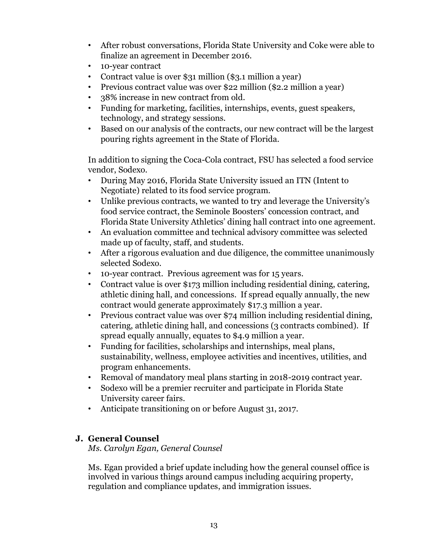- After robust conversations, Florida State University and Coke were able to finalize an agreement in December 2016.
- 10-year contract
- Contract value is over \$31 million (\$3.1 million a year)
- Previous contract value was over \$22 million (\$2.2 million a year)
- 38% increase in new contract from old.
- Funding for marketing, facilities, internships, events, guest speakers, technology, and strategy sessions.
- Based on our analysis of the contracts, our new contract will be the largest pouring rights agreement in the State of Florida.

In addition to signing the Coca-Cola contract, FSU has selected a food service vendor, Sodexo.

- During May 2016, Florida State University issued an ITN (Intent to Negotiate) related to its food service program.
- Unlike previous contracts, we wanted to try and leverage the University's food service contract, the Seminole Boosters' concession contract, and Florida State University Athletics' dining hall contract into one agreement.
- An evaluation committee and technical advisory committee was selected made up of faculty, staff, and students.
- After a rigorous evaluation and due diligence, the committee unanimously selected Sodexo.
- 10-year contract. Previous agreement was for 15 years.
- Contract value is over \$173 million including residential dining, catering, athletic dining hall, and concessions. If spread equally annually, the new contract would generate approximately \$17.3 million a year.
- Previous contract value was over \$74 million including residential dining, catering, athletic dining hall, and concessions (3 contracts combined). If spread equally annually, equates to \$4.9 million a year.
- Funding for facilities, scholarships and internships, meal plans, sustainability, wellness, employee activities and incentives, utilities, and program enhancements.
- Removal of mandatory meal plans starting in 2018-2019 contract year.
- Sodexo will be a premier recruiter and participate in Florida State University career fairs.
- Anticipate transitioning on or before August 31, 2017.

# **J. General Counsel**

*Ms. Carolyn Egan, General Counsel*

Ms. Egan provided a brief update including how the general counsel office is involved in various things around campus including acquiring property, regulation and compliance updates, and immigration issues.